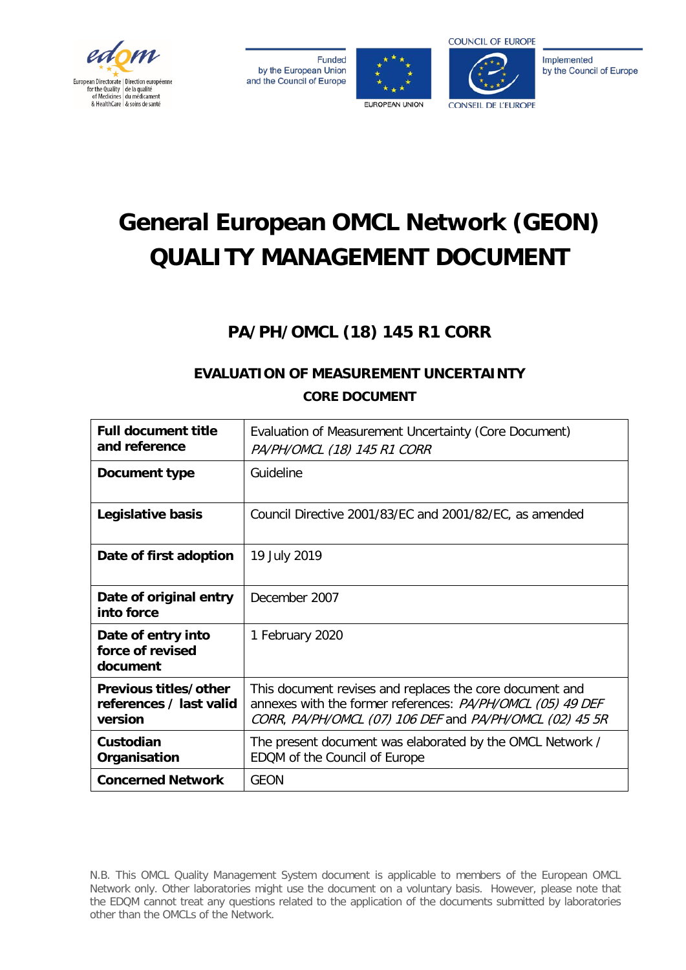

**Funded** by the European Union and the Council of Europe





Implemented by the Council of Europe

# **General European OMCL Network (GEON) QUALITY MANAGEMENT DOCUMENT**

# **PA/PH/OMCL (18) 145 R1 CORR**

# **EVALUATION OF MEASUREMENT UNCERTAINTY CORE DOCUMENT**

| <b>Full document title</b><br>and reference                 | Evaluation of Measurement Uncertainty (Core Document)<br>PA/PH/OMCL (18) 145 R1 CORR                                                                                              |
|-------------------------------------------------------------|-----------------------------------------------------------------------------------------------------------------------------------------------------------------------------------|
| Document type                                               | Guideline                                                                                                                                                                         |
| Legislative basis                                           | Council Directive 2001/83/EC and 2001/82/EC, as amended                                                                                                                           |
| Date of first adoption                                      | 19 July 2019                                                                                                                                                                      |
| Date of original entry<br>into force                        | December 2007                                                                                                                                                                     |
| Date of entry into<br>force of revised<br>document          | 1 February 2020                                                                                                                                                                   |
| Previous titles/other<br>references / last valid<br>version | This document revises and replaces the core document and<br>annexes with the former references: PA/PH/OMCL (05) 49 DEF<br>CORR, PA/PH/OMCL (07) 106 DEF and PA/PH/OMCL (02) 45 5R |
| Custodian<br>Organisation                                   | The present document was elaborated by the OMCL Network /<br>EDQM of the Council of Europe                                                                                        |
| <b>Concerned Network</b>                                    | <b>GEON</b>                                                                                                                                                                       |

N.B. This OMCL Quality Management System document is applicable to members of the European OMCL Network only. Other laboratories might use the document on a voluntary basis. However, please note that the EDQM cannot treat any questions related to the application of the documents submitted by laboratories other than the OMCLs of the Network.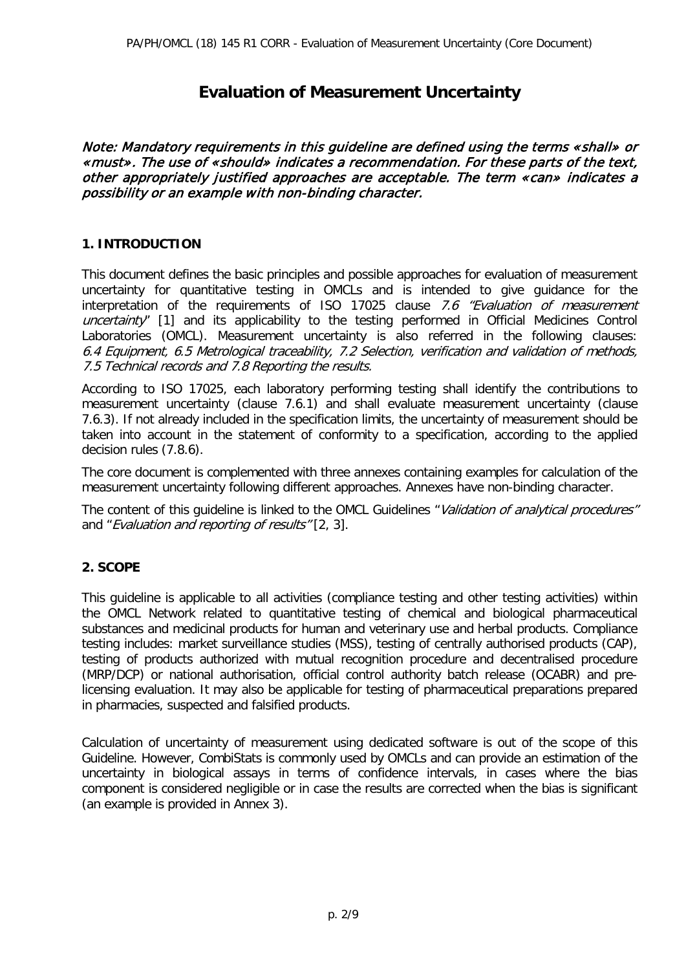## **Evaluation of Measurement Uncertainty**

Note: Mandatory requirements in this guideline are defined using the terms «shall» or «must». The use of «should» indicates a recommendation. For these parts of the text, other appropriately justified approaches are acceptable. The term «can» indicates a possibility or an example with non-binding character.

#### **1. INTRODUCTION**

This document defines the basic principles and possible approaches for evaluation of measurement uncertainty for quantitative testing in OMCLs and is intended to give guidance for the interpretation of the requirements of ISO 17025 clause 7.6 "Evaluation of measurement uncertainty" [1] and its applicability to the testing performed in Official Medicines Control Laboratories (OMCL). Measurement uncertainty is also referred in the following clauses: 6.4 Equipment, 6.5 Metrological traceability, 7.2 Selection, verification and validation of methods, 7.5 Technical records and 7.8 Reporting the results.

According to ISO 17025, each laboratory performing testing shall identify the contributions to measurement uncertainty (clause 7.6.1) and shall evaluate measurement uncertainty (clause 7.6.3). If not already included in the specification limits, the uncertainty of measurement should be taken into account in the statement of conformity to a specification, according to the applied decision rules (7.8.6).

The core document is complemented with three annexes containing examples for calculation of the measurement uncertainty following different approaches. Annexes have non-binding character.

The content of this guideline is linked to the OMCL Guidelines "Validation of analytical procedures" and "Evaluation and reporting of results" [2, 3].

#### **2. SCOPE**

This guideline is applicable to all activities (compliance testing and other testing activities) within the OMCL Network related to quantitative testing of chemical and biological pharmaceutical substances and medicinal products for human and veterinary use and herbal products. Compliance testing includes: market surveillance studies (MSS), testing of centrally authorised products (CAP), testing of products authorized with mutual recognition procedure and decentralised procedure (MRP/DCP) or national authorisation, official control authority batch release (OCABR) and prelicensing evaluation. It may also be applicable for testing of pharmaceutical preparations prepared in pharmacies, suspected and falsified products.

Calculation of uncertainty of measurement using dedicated software is out of the scope of this Guideline. However, CombiStats is commonly used by OMCLs and can provide an estimation of the uncertainty in biological assays in terms of confidence intervals, in cases where the bias component is considered negligible or in case the results are corrected when the bias is significant (an example is provided in Annex 3).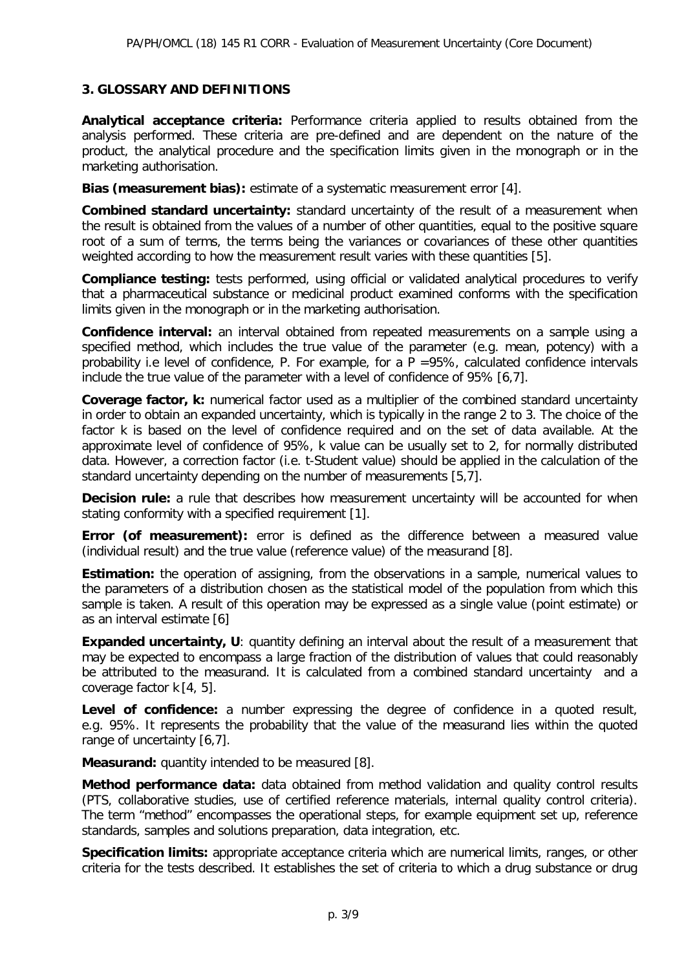#### **3. GLOSSARY AND DEFINITIONS**

**Analytical acceptance criteria:** Performance criteria applied to results obtained from the analysis performed. These criteria are pre-defined and are dependent on the nature of the product, the analytical procedure and the specification limits given in the monograph or in the marketing authorisation.

**Bias (measurement bias):** estimate of a systematic measurement error [4].

**Combined standard uncertainty:** standard uncertainty of the result of a measurement when the result is obtained from the values of a number of other quantities, equal to the positive square root of a sum of terms, the terms being the variances or covariances of these other quantities weighted according to how the measurement result varies with these quantities [5].

**Compliance testing:** tests performed, using official or validated analytical procedures to verify that a pharmaceutical substance or medicinal product examined conforms with the specification limits given in the monograph or in the marketing authorisation.

**Confidence interval:** an interval obtained from repeated measurements on a sample using a specified method, which includes the true value of the parameter (e.g. mean, potency) with a probability i.e level of confidence, P. For example, for a  $P = 95\%$ , calculated confidence intervals include the true value of the parameter with a level of confidence of 95% [6,7].

**Coverage factor, k:** numerical factor used as a multiplier of the combined standard uncertainty in order to obtain an expanded uncertainty, which is typically in the range 2 to 3. The choice of the factor k is based on the level of confidence required and on the set of data available. At the approximate level of confidence of 95%, k value can be usually set to 2, for normally distributed data. However, a correction factor (i.e. t-Student value) should be applied in the calculation of the standard uncertainty depending on the number of measurements [5,7].

**Decision rule:** a rule that describes how measurement uncertainty will be accounted for when stating conformity with a specified requirement [1].

**Error (of measurement):** error is defined as the difference between a measured value (individual result) and the true value (reference value) of the measurand [8].

**Estimation:** the operation of assigning, from the observations in a sample, numerical values to the parameters of a distribution chosen as the statistical model of the population from which this sample is taken. A result of this operation may be expressed as a single value (point estimate) or as an interval estimate [6]

**Expanded uncertainty, U:** quantity defining an interval about the result of a measurement that may be expected to encompass a large fraction of the distribution of values that could reasonably be attributed to the measurand. It is calculated from a combined standard uncertainty and a coverage factor k [4, 5].

Level of confidence: a number expressing the degree of confidence in a quoted result, e.g. 95%. It represents the probability that the value of the measurand lies within the quoted range of uncertainty [6,7].

**Measurand:** quantity intended to be measured [8].

**Method performance data:** data obtained from method validation and quality control results (PTS, collaborative studies, use of certified reference materials, internal quality control criteria). The term "method" encompasses the operational steps, for example equipment set up, reference standards, samples and solutions preparation, data integration, etc.

**Specification limits:** appropriate acceptance criteria which are numerical limits, ranges, or other criteria for the tests described. It establishes the set of criteria to which a drug substance or drug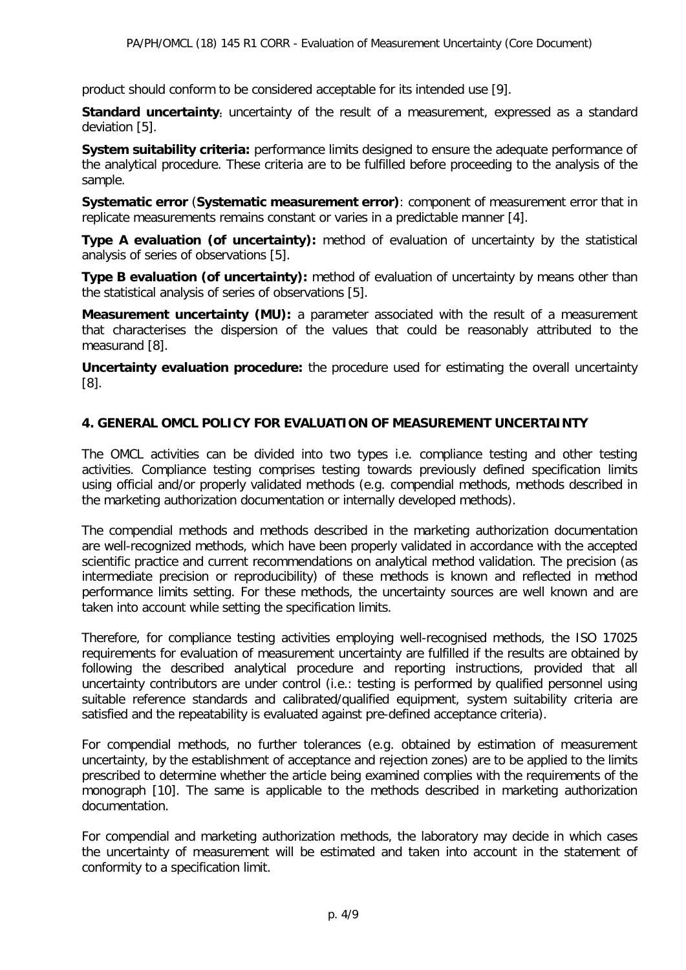product should conform to be considered acceptable for its intended use [9].

**Standard uncertainty:** uncertainty of the result of a measurement, expressed as a standard deviation [5].

**System suitability criteria:** performance limits designed to ensure the adequate performance of the analytical procedure. These criteria are to be fulfilled before proceeding to the analysis of the sample.

**Systematic error** (**Systematic measurement error)**: component of measurement error that in replicate measurements remains constant or varies in a predictable manner [4].

**Type A evaluation (of uncertainty):** method of evaluation of uncertainty by the statistical analysis of series of observations [5].

**Type B evaluation (of uncertainty):** method of evaluation of uncertainty by means other than the statistical analysis of series of observations [5].

**Measurement uncertainty (MU):** a parameter associated with the result of a measurement that characterises the dispersion of the values that could be reasonably attributed to the measurand [8].

**Uncertainty evaluation procedure:** the procedure used for estimating the overall uncertainty [8].

#### **4. GENERAL OMCL POLICY FOR EVALUATION OF MEASUREMENT UNCERTAINTY**

The OMCL activities can be divided into two types i.e. compliance testing and other testing activities. Compliance testing comprises testing towards previously defined specification limits using official and/or properly validated methods (e.g. compendial methods, methods described in the marketing authorization documentation or internally developed methods).

The compendial methods and methods described in the marketing authorization documentation are well-recognized methods, which have been properly validated in accordance with the accepted scientific practice and current recommendations on analytical method validation. The precision (as intermediate precision or reproducibility) of these methods is known and reflected in method performance limits setting. For these methods, the uncertainty sources are well known and are taken into account while setting the specification limits.

Therefore, for compliance testing activities employing well-recognised methods, the ISO 17025 requirements for evaluation of measurement uncertainty are fulfilled if the results are obtained by following the described analytical procedure and reporting instructions, provided that all uncertainty contributors are under control (i.e.: testing is performed by qualified personnel using suitable reference standards and calibrated/qualified equipment, system suitability criteria are satisfied and the repeatability is evaluated against pre-defined acceptance criteria).

For compendial methods, no further tolerances (e.g. obtained by estimation of measurement uncertainty, by the establishment of acceptance and rejection zones) are to be applied to the limits prescribed to determine whether the article being examined complies with the requirements of the monograph [10]. The same is applicable to the methods described in marketing authorization documentation.

For compendial and marketing authorization methods, the laboratory may decide in which cases the uncertainty of measurement will be estimated and taken into account in the statement of conformity to a specification limit.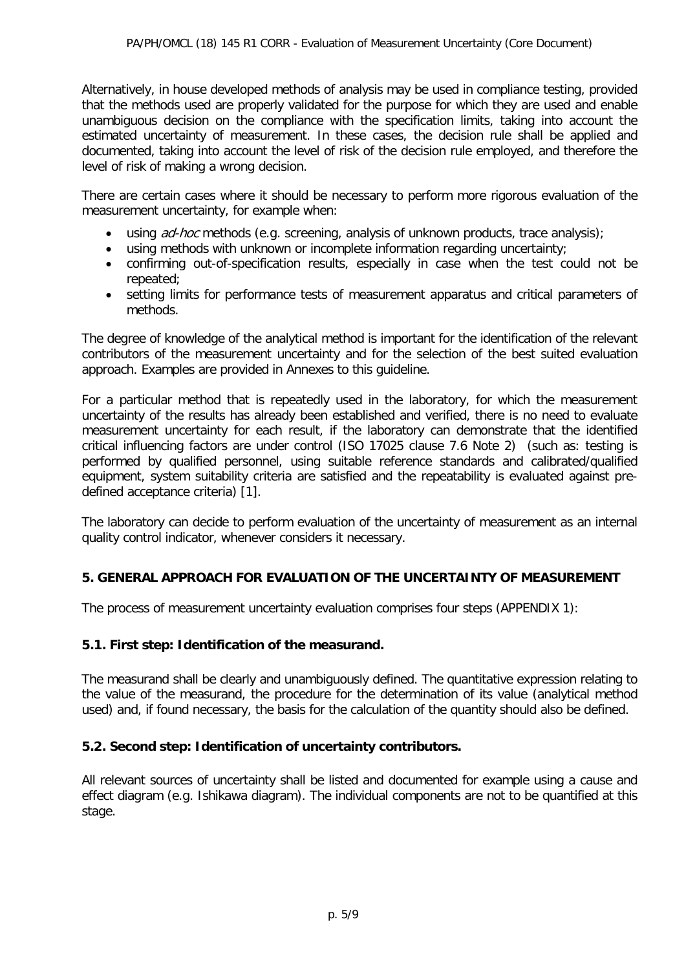Alternatively, in house developed methods of analysis may be used in compliance testing, provided that the methods used are properly validated for the purpose for which they are used and enable unambiguous decision on the compliance with the specification limits, taking into account the estimated uncertainty of measurement. In these cases, the decision rule shall be applied and documented, taking into account the level of risk of the decision rule employed, and therefore the level of risk of making a wrong decision.

There are certain cases where it should be necessary to perform more rigorous evaluation of the measurement uncertainty, for example when:

- using  $ad-hoc$  methods (e.g. screening, analysis of unknown products, trace analysis);
- using methods with unknown or incomplete information regarding uncertainty;<br>• confirming out-of-specification results, especially in case when the test confirming
- confirming out-of-specification results, especially in case when the test could not be repeated;
- setting limits for performance tests of measurement apparatus and critical parameters of methods.

The degree of knowledge of the analytical method is important for the identification of the relevant contributors of the measurement uncertainty and for the selection of the best suited evaluation approach. Examples are provided in Annexes to this guideline.

For a particular method that is repeatedly used in the laboratory, for which the measurement uncertainty of the results has already been established and verified, there is no need to evaluate measurement uncertainty for each result, if the laboratory can demonstrate that the identified critical influencing factors are under control (ISO 17025 clause 7.6 Note 2) (such as: testing is performed by qualified personnel, using suitable reference standards and calibrated/qualified equipment, system suitability criteria are satisfied and the repeatability is evaluated against predefined acceptance criteria) [1].

The laboratory can decide to perform evaluation of the uncertainty of measurement as an internal quality control indicator, whenever considers it necessary.

#### **5. GENERAL APPROACH FOR EVALUATION OF THE UNCERTAINTY OF MEASUREMENT**

The process of measurement uncertainty evaluation comprises four steps (APPENDIX 1):

#### **5.1. First step: Identification of the measurand.**

The measurand shall be clearly and unambiguously defined. The quantitative expression relating to the value of the measurand, the procedure for the determination of its value (analytical method used) and, if found necessary, the basis for the calculation of the quantity should also be defined.

#### **5.2. Second step: Identification of uncertainty contributors.**

All relevant sources of uncertainty shall be listed and documented for example using a cause and effect diagram (e.g. Ishikawa diagram). The individual components are not to be quantified at this stage.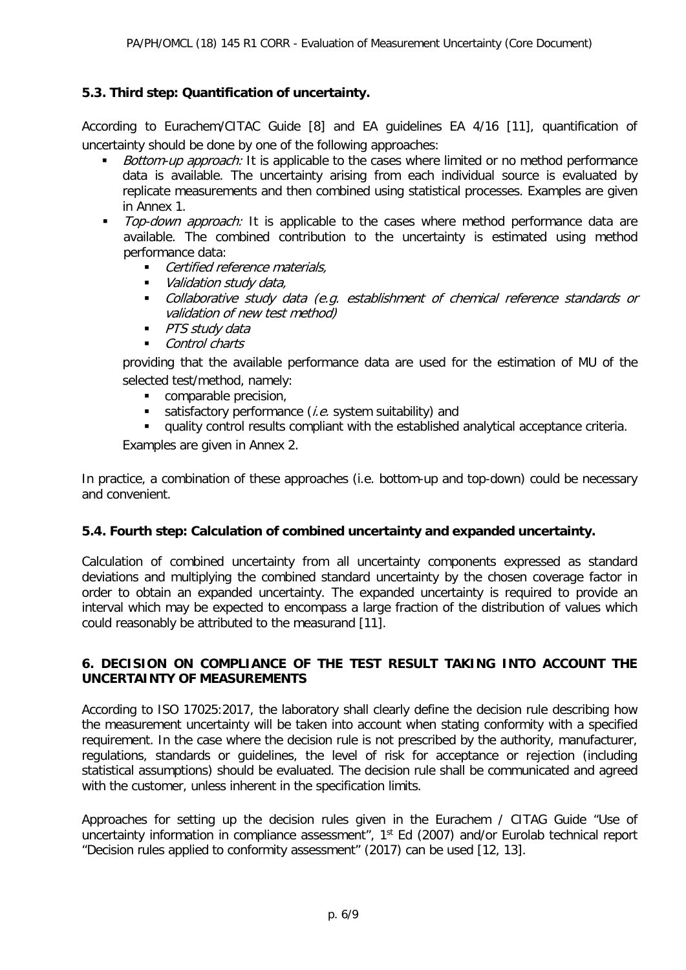#### **5.3. Third step: Quantification of uncertainty.**

According to Eurachem/CITAC Guide [8] and EA guidelines EA 4/16 [11], quantification of uncertainty should be done by one of the following approaches:

- Bottom-up approach: It is applicable to the cases where limited or no method performance data is available. The uncertainty arising from each individual source is evaluated by replicate measurements and then combined using statistical processes. Examples are given in Annex 1.
- Top-down approach: It is applicable to the cases where method performance data are available. The combined contribution to the uncertainty is estimated using method performance data:
	- Certified reference materials,
	- Validation study data,
	- **•** Collaborative study data (e.g. establishment of chemical reference standards or validation of new test method)
	- **PTS study data**
	- Control charts

providing that the available performance data are used for the estimation of MU of the selected test/method, namely:

- comparable precision,
- satisfactory performance  $(i.e.$  system suitability) and
- quality control results compliant with the established analytical acceptance criteria.

Examples are given in Annex 2.

In practice, a combination of these approaches (i.e. bottom-up and top-down) could be necessary and convenient.

#### **5.4. Fourth step: Calculation of combined uncertainty and expanded uncertainty.**

Calculation of combined uncertainty from all uncertainty components expressed as standard deviations and multiplying the combined standard uncertainty by the chosen coverage factor in order to obtain an expanded uncertainty. The expanded uncertainty is required to provide an interval which may be expected to encompass a large fraction of the distribution of values which could reasonably be attributed to the measurand [11].

#### **6. DECISION ON COMPLIANCE OF THE TEST RESULT TAKING INTO ACCOUNT THE UNCERTAINTY OF MEASUREMENTS**

According to ISO 17025:2017, the laboratory shall clearly define the decision rule describing how the measurement uncertainty will be taken into account when stating conformity with a specified requirement. In the case where the decision rule is not prescribed by the authority, manufacturer, regulations, standards or guidelines, the level of risk for acceptance or rejection (including statistical assumptions) should be evaluated. The decision rule shall be communicated and agreed with the customer, unless inherent in the specification limits.

Approaches for setting up the decision rules given in the Eurachem / CITAG Guide "Use of uncertainty information in compliance assessment", 1<sup>st</sup> Ed (2007) and/or Eurolab technical report "Decision rules applied to conformity assessment" (2017) can be used [12, 13].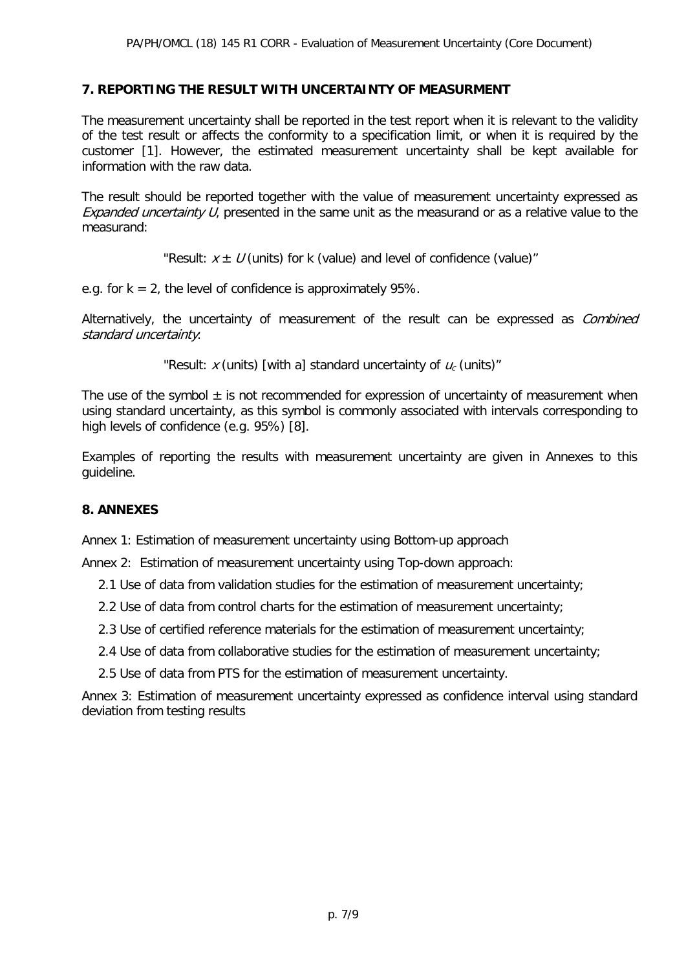#### **7. REPORTING THE RESULT WITH UNCERTAINTY OF MEASURMENT**

The measurement uncertainty shall be reported in the test report when it is relevant to the validity of the test result or affects the conformity to a specification limit, or when it is required by the customer [1]. However, the estimated measurement uncertainty shall be kept available for information with the raw data.

The result should be reported together with the value of measurement uncertainty expressed as Expanded uncertainty U, presented in the same unit as the measurand or as a relative value to the measurand:

"Result:  $x \pm U$  (units) for k (value) and level of confidence (value)"

e.g. for  $k = 2$ , the level of confidence is approximately 95%.

Alternatively, the uncertainty of measurement of the result can be expressed as *Combined* standard uncertainty:

"Result: x (units) [with a] standard uncertainty of  $u_c$  (units)"

The use of the symbol  $\pm$  is not recommended for expression of uncertainty of measurement when using standard uncertainty, as this symbol is commonly associated with intervals corresponding to high levels of confidence (e.g. 95%) [8].

Examples of reporting the results with measurement uncertainty are given in Annexes to this guideline.

#### **8. ANNEXES**

Annex 1: Estimation of measurement uncertainty using Bottom-up approach

Annex 2: Estimation of measurement uncertainty using Top-down approach:

- 2.1 Use of data from validation studies for the estimation of measurement uncertainty;
- 2.2 Use of data from control charts for the estimation of measurement uncertainty;
- 2.3 Use of certified reference materials for the estimation of measurement uncertainty;
- 2.4 Use of data from collaborative studies for the estimation of measurement uncertainty;
- 2.5 Use of data from PTS for the estimation of measurement uncertainty.

Annex 3: Estimation of measurement uncertainty expressed as confidence interval using standard deviation from testing results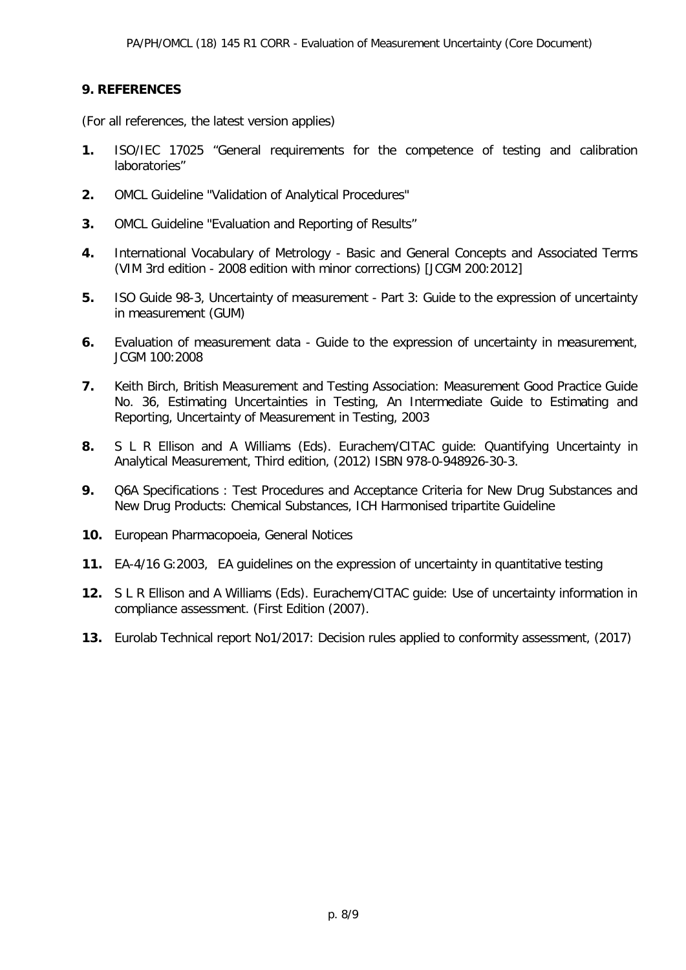#### **9. REFERENCES**

(For all references, the latest version applies)

- **1.** ISO/IEC 17025 "General requirements for the competence of testing and calibration laboratories"
- **2.** OMCL Guideline "Validation of Analytical Procedures"
- **3.** OMCL Guideline "Evaluation and Reporting of Results"
- **4.** International Vocabulary of Metrology [Basic and General Concepts and Associated Terms](http://www.bipm.org/utils/common/documents/jcgm/JCGM_200_2012.pdf) (VIM 3rd edition - 2008 edition with minor corrections) [JCGM 200:2012]
- **5.** ISO Guide 98-3, Uncertainty of measurement Part 3: Guide to the expression of uncertainty in measurement (GUM)
- **6.** Evaluation of measurement data Guide to the expression of uncertainty in measurement, JCGM 100:2008
- **7.** Keith Birch, British Measurement and Testing Association: Measurement Good Practice Guide No. 36, Estimating Uncertainties in Testing, An Intermediate Guide to Estimating and Reporting, Uncertainty of Measurement in Testing, 2003
- **8.** S L R Ellison and A Williams (Eds). Eurachem/CITAC guide: Quantifying Uncertainty in Analytical Measurement, Third edition, (2012) ISBN 978-0-948926-30-3.
- **9.** Q6A Specifications : Test Procedures and Acceptance Criteria for New Drug Substances and New Drug Products: Chemical Substances, ICH Harmonised tripartite Guideline
- **10.** European Pharmacopoeia, General Notices
- **11.** EA-4/16 G:2003, EA guidelines on the expression of uncertainty in quantitative testing
- **12.** S L R Ellison and A Williams (Eds). Eurachem/CITAC guide: Use of uncertainty information in compliance assessment. (First Edition (2007).
- **13.** Eurolab Technical report No1/2017: Decision rules applied to conformity assessment, (2017)